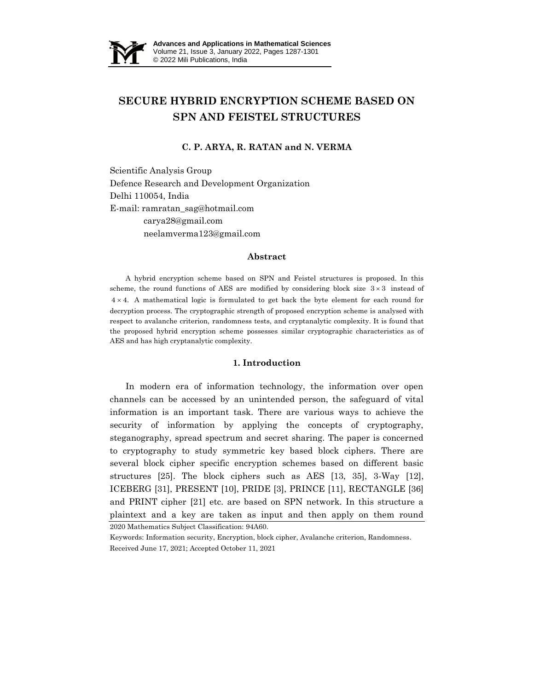

# **SECURE HYBRID ENCRYPTION SCHEME BASED ON SPN AND FEISTEL STRUCTURES**

# **C. P. ARYA, R. RATAN and N. VERMA**

Scientific Analysis Group Defence Research and Development Organization Delhi 110054, India E-mail: ramratan\_sag@hotmail.com carya28@gmail.com neelamverma123@gmail.com

#### **Abstract**

A hybrid encryption scheme based on SPN and Feistel structures is proposed. In this scheme, the round functions of AES are modified by considering block size  $3 \times 3$  instead of  $4 \times 4$ . A mathematical logic is formulated to get back the byte element for each round for decryption process. The cryptographic strength of proposed encryption scheme is analysed with respect to avalanche criterion, randomness tests, and cryptanalytic complexity. It is found that the proposed hybrid encryption scheme possesses similar cryptographic characteristics as of AES and has high cryptanalytic complexity.

## **1. Introduction**

2020 Mathematics Subject Classification: 94A60. In modern era of information technology, the information over open channels can be accessed by an unintended person, the safeguard of vital information is an important task. There are various ways to achieve the security of information by applying the concepts of cryptography, steganography, spread spectrum and secret sharing. The paper is concerned to cryptography to study symmetric key based block ciphers. There are several block cipher specific encryption schemes based on different basic structures [25]. The block ciphers such as AES [13, 35], 3-Way [12], ICEBERG [31], PRESENT [10], PRIDE [3], PRINCE [11], RECTANGLE [36] and PRINT cipher [21] etc. are based on SPN network. In this structure a plaintext and a key are taken as input and then apply on them round

Keywords: Information security, Encryption, block cipher, Avalanche criterion, Randomness. Received June 17, 2021; Accepted October 11, 2021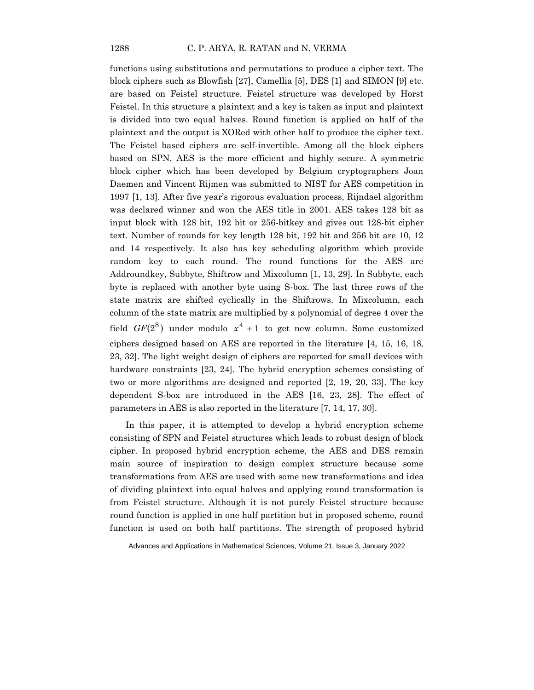functions using substitutions and permutations to produce a cipher text. The block ciphers such as Blowfish [27], Camellia [5], DES [1] and SIMON [9] etc. are based on Feistel structure. Feistel structure was developed by Horst Feistel. In this structure a plaintext and a key is taken as input and plaintext is divided into two equal halves. Round function is applied on half of the plaintext and the output is XORed with other half to produce the cipher text. The Feistel based ciphers are self-invertible. Among all the block ciphers based on SPN, AES is the more efficient and highly secure. A symmetric block cipher which has been developed by Belgium cryptographers Joan Daemen and Vincent Rijmen was submitted to NIST for AES competition in 1997 [1, 13]. After five year's rigorous evaluation process, Rijndael algorithm was declared winner and won the AES title in 2001. AES takes 128 bit as input block with 128 bit, 192 bit or 256-bitkey and gives out 128-bit cipher text. Number of rounds for key length 128 bit, 192 bit and 256 bit are 10, 12 and 14 respectively. It also has key scheduling algorithm which provide random key to each round. The round functions for the AES are Addroundkey, Subbyte, Shiftrow and Mixcolumn [1, 13, 29]. In Subbyte, each byte is replaced with another byte using S-box. The last three rows of the state matrix are shifted cyclically in the Shiftrows. In Mixcolumn, each column of the state matrix are multiplied by a polynomial of degree 4 over the field  $GF(2^8)$  under modulo  $x^4 + 1$  to get new column. Some customized ciphers designed based on AES are reported in the literature [4, 15, 16, 18, 23, 32]. The light weight design of ciphers are reported for small devices with hardware constraints [23, 24]. The hybrid encryption schemes consisting of two or more algorithms are designed and reported [2, 19, 20, 33]. The key dependent S-box are introduced in the AES [16, 23, 28]. The effect of parameters in AES is also reported in the literature [7, 14, 17, 30].

In this paper, it is attempted to develop a hybrid encryption scheme consisting of SPN and Feistel structures which leads to robust design of block cipher. In proposed hybrid encryption scheme, the AES and DES remain main source of inspiration to design complex structure because some transformations from AES are used with some new transformations and idea of dividing plaintext into equal halves and applying round transformation is from Feistel structure. Although it is not purely Feistel structure because round function is applied in one half partition but in proposed scheme, round function is used on both half partitions. The strength of proposed hybrid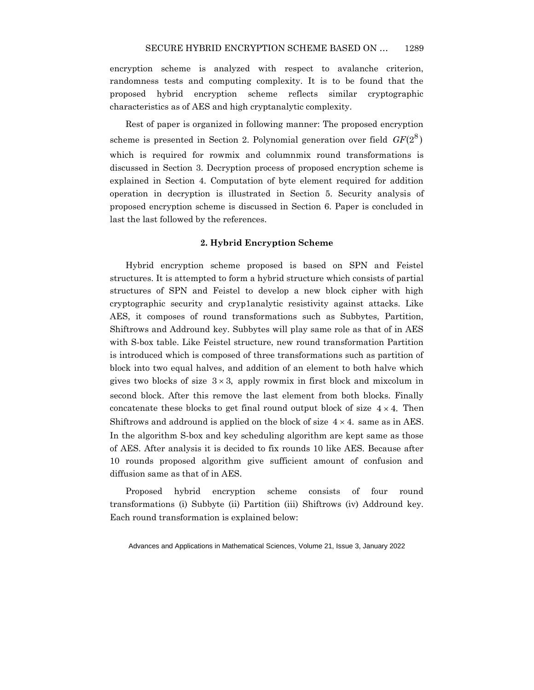encryption scheme is analyzed with respect to avalanche criterion, randomness tests and computing complexity. It is to be found that the proposed hybrid encryption scheme reflects similar cryptographic characteristics as of AES and high cryptanalytic complexity.

Rest of paper is organized in following manner: The proposed encryption scheme is presented in Section 2. Polynomial generation over field  $GF(2^8)$ which is required for rowmix and columnmix round transformations is discussed in Section 3. Decryption process of proposed encryption scheme is explained in Section 4. Computation of byte element required for addition operation in decryption is illustrated in Section 5. Security analysis of proposed encryption scheme is discussed in Section 6. Paper is concluded in last the last followed by the references.

# **2. Hybrid Encryption Scheme**

Hybrid encryption scheme proposed is based on SPN and Feistel structures. It is attempted to form a hybrid structure which consists of partial structures of SPN and Feistel to develop a new block cipher with high cryptographic security and cryp1analytic resistivity against attacks. Like AES, it composes of round transformations such as Subbytes, Partition, Shiftrows and Addround key. Subbytes will play same role as that of in AES with S-box table. Like Feistel structure, new round transformation Partition is introduced which is composed of three transformations such as partition of block into two equal halves, and addition of an element to both halve which gives two blocks of size  $3 \times 3$ , apply rowmix in first block and mixcolum in second block. After this remove the last element from both blocks. Finally concatenate these blocks to get final round output block of size  $4 \times 4$ . Then Shiftrows and addround is applied on the block of size  $4 \times 4$ . same as in AES. In the algorithm S-box and key scheduling algorithm are kept same as those of AES. After analysis it is decided to fix rounds 10 like AES. Because after 10 rounds proposed algorithm give sufficient amount of confusion and diffusion same as that of in AES.

Proposed hybrid encryption scheme consists of four round transformations (i) Subbyte (ii) Partition (iii) Shiftrows (iv) Addround key. Each round transformation is explained below: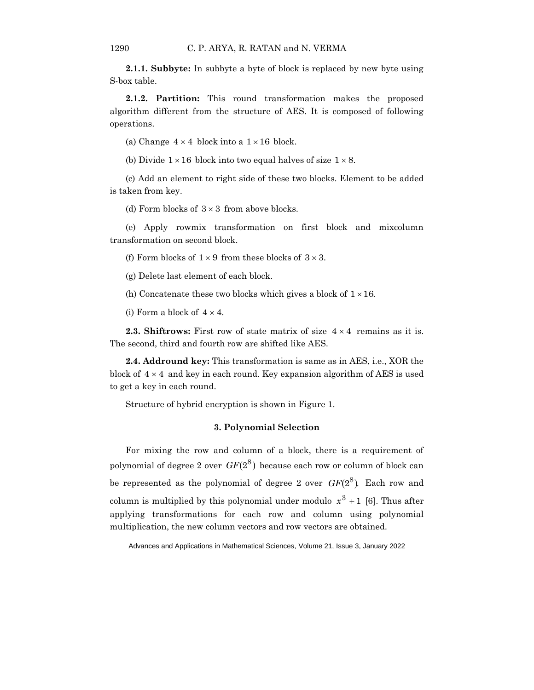**2.1.1. Subbyte:** In subbyte a byte of block is replaced by new byte using S-box table.

**2.1.2. Partition:** This round transformation makes the proposed algorithm different from the structure of AES. It is composed of following operations.

(a) Change  $4 \times 4$  block into a  $1 \times 16$  block.

(b) Divide  $1 \times 16$  block into two equal halves of size  $1 \times 8$ .

(c) Add an element to right side of these two blocks. Element to be added is taken from key.

(d) Form blocks of  $3 \times 3$  from above blocks.

(e) Apply rowmix transformation on first block and mixcolumn transformation on second block.

(f) Form blocks of  $1 \times 9$  from these blocks of  $3 \times 3$ .

(g) Delete last element of each block.

(h) Concatenate these two blocks which gives a block of  $1 \times 16$ .

(i) Form a block of  $4 \times 4$ .

**2.3. Shiftrows:** First row of state matrix of size  $4 \times 4$  remains as it is. The second, third and fourth row are shifted like AES.

**2.4. Addround key:** This transformation is same as in AES, i.e., XOR the block of  $4 \times 4$  and key in each round. Key expansion algorithm of AES is used to get a key in each round.

Structure of hybrid encryption is shown in Figure 1.

## **3. Polynomial Selection**

For mixing the row and column of a block, there is a requirement of polynomial of degree 2 over  $GF(2^8)$  because each row or column of block can be represented as the polynomial of degree 2 over  $GF(2^8)$ . Each row and column is multiplied by this polynomial under modulo  $x^3 + 1$  [6]. Thus after applying transformations for each row and column using polynomial multiplication, the new column vectors and row vectors are obtained.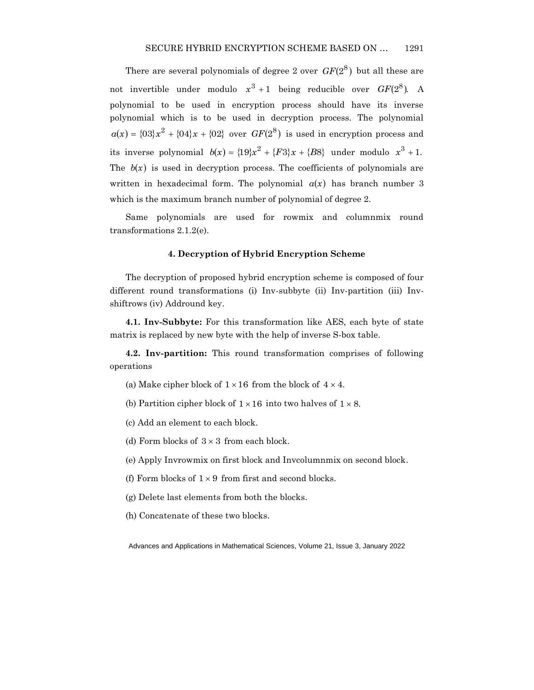There are several polynomials of degree 2 over  $GF(2^8)$  but all these are not invertible under modulo  $x^3 + 1$  being reducible over  $GF(2^8)$ . A polynomial to be used in encryption process should have its inverse polynomial which is to be used in decryption process. The polynomial  $a(x) = {03x^2 + {04x + {02} \over }}$  over  $GF(2^8)$  is used in encryption process and its inverse polynomial  $b(x) = \{19\}x^2 + \{F3\}x + \{B8\}$  under modulo  $x^3 + 1$ . The  $b(x)$  is used in decryption process. The coefficients of polynomials are written in hexadecimal form. The polynomial  $a(x)$  has branch number 3 which is the maximum branch number of polynomial of degree 2.

Same polynomials are used for rowmix and columnmix round transformations 2.1.2(e).

# **4. Decryption of Hybrid Encryption Scheme**

The decryption of proposed hybrid encryption scheme is composed of four different round transformations (i) Inv-subbyte (ii) Inv-partition (iii) Invshiftrows (iv) Addround key.

**4.1. Inv-Subbyte:** For this transformation like AES, each byte of state matrix is replaced by new byte with the help of inverse S-box table.

**4.2. Inv-partition:** This round transformation comprises of following operations

(a) Make cipher block of  $1 \times 16$  from the block of  $4 \times 4$ .

(b) Partition cipher block of  $1 \times 16$  into two halves of  $1 \times 8$ .

(c) Add an element to each block.

(d) Form blocks of  $3 \times 3$  from each block.

(e) Apply Invrowmix on first block and Invcolumnmix on second block.

(f) Form blocks of  $1 \times 9$  from first and second blocks.

(g) Delete last elements from both the blocks.

(h) Concatenate of these two blocks.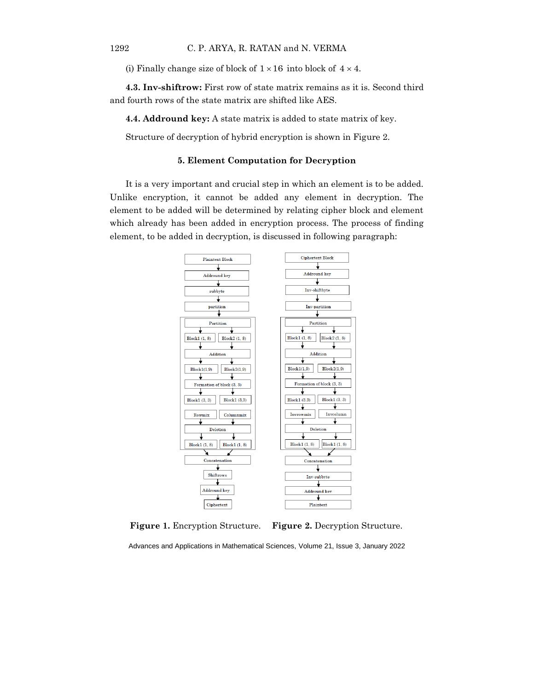(i) Finally change size of block of  $1 \times 16$  into block of  $4 \times 4$ .

**4.3. Inv-shiftrow:** First row of state matrix remains as it is. Second third and fourth rows of the state matrix are shifted like AES.

**4.4. Addround key:** A state matrix is added to state matrix of key.

Structure of decryption of hybrid encryption is shown in Figure 2.

## **5. Element Computation for Decryption**

It is a very important and crucial step in which an element is to be added. Unlike encryption, it cannot be added any element in decryption. The element to be added will be determined by relating cipher block and element which already has been added in encryption process. The process of finding element, to be added in decryption, is discussed in following paragraph:



**Figure 1.** Encryption Structure. **Figure 2.** Decryption Structure.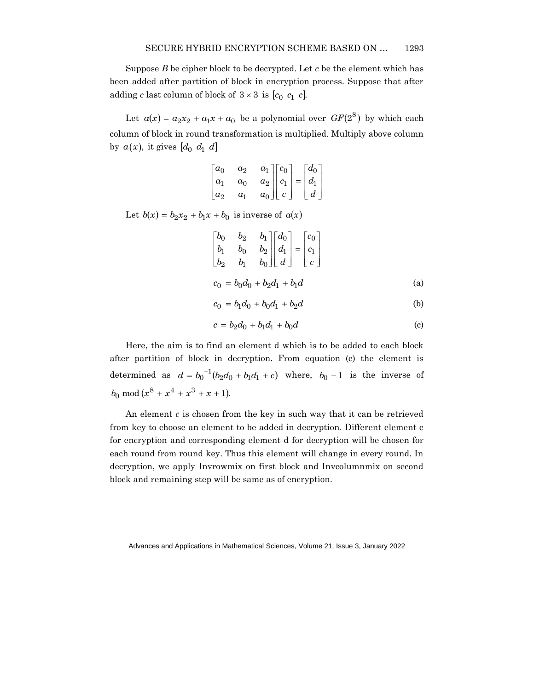Suppose *B* be cipher block to be decrypted. Let *c* be the element which has been added after partition of block in encryption process. Suppose that after adding *c* last column of block of  $3 \times 3$  is  $[c_0 \ c_1 \ c]$ .

Let  $a(x) = a_2x_2 + a_1x + a_0$  be a polynomial over  $GF(2^8)$  by which each column of block in round transformation is multiplied. Multiply above column by  $a(x)$ , it gives  $[d_0 \ d_1 \ d]$ 

$$
\begin{bmatrix} a_0 & a_2 & a_1 \\ a_1 & a_0 & a_2 \\ a_2 & a_1 & a_0 \end{bmatrix} \begin{bmatrix} c_0 \\ c_1 \\ c \end{bmatrix} = \begin{bmatrix} d_0 \\ d_1 \\ d \end{bmatrix}
$$

Let  $b(x) = b_2x_2 + b_1x + b_0$  is inverse of  $a(x)$ 

$$
\begin{bmatrix} b_0 & b_2 & b_1 \ b_1 & b_0 & b_2 \ b_2 & b_1 & b_0 \end{bmatrix} \begin{bmatrix} d_0 \ d_1 \ d \end{bmatrix} = \begin{bmatrix} c_0 \ c_1 \ c \end{bmatrix}
$$
  

$$
c_0 = b_0 d_0 + b_2 d_1 + b_1 d
$$
 (a)

$$
c_0 = b_1 d_0 + b_0 d_1 + b_2 d \tag{b}
$$

$$
c = b_2 d_0 + b_1 d_1 + b_0 d \tag{c}
$$

Here, the aim is to find an element d which is to be added to each block after partition of block in decryption. From equation (c) the element is determined as  $d = b_0^{-1}(b_2d_0 + b_1d_1 + c)$  where,  $b_0 - 1$  is the inverse of  $b_0 \mod (x^8 + x^4 + x^3 + x + 1).$ 

An element *c* is chosen from the key in such way that it can be retrieved from key to choose an element to be added in decryption. Different element c for encryption and corresponding element d for decryption will be chosen for each round from round key. Thus this element will change in every round. In decryption, we apply Invrowmix on first block and Invcolumnmix on second block and remaining step will be same as of encryption.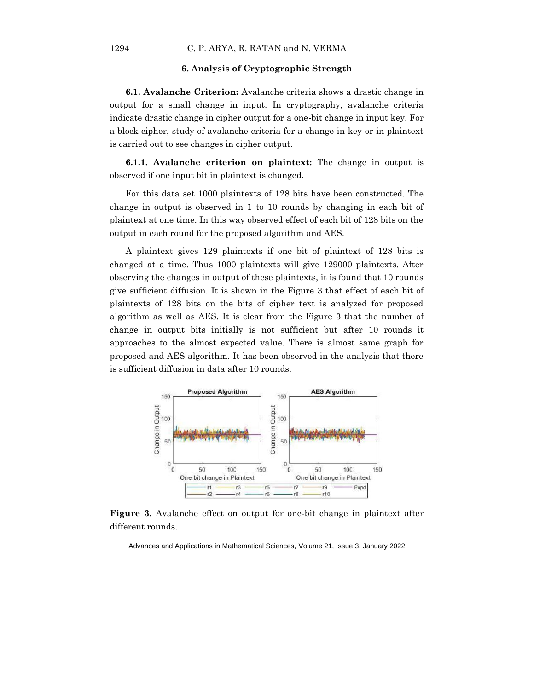### **6. Analysis of Cryptographic Strength**

**6.1. Avalanche Criterion:** Avalanche criteria shows a drastic change in output for a small change in input. In cryptography, avalanche criteria indicate drastic change in cipher output for a one-bit change in input key. For a block cipher, study of avalanche criteria for a change in key or in plaintext is carried out to see changes in cipher output.

**6.1.1. Avalanche criterion on plaintext:** The change in output is observed if one input bit in plaintext is changed.

For this data set 1000 plaintexts of 128 bits have been constructed. The change in output is observed in 1 to 10 rounds by changing in each bit of plaintext at one time. In this way observed effect of each bit of 128 bits on the output in each round for the proposed algorithm and AES.

A plaintext gives 129 plaintexts if one bit of plaintext of 128 bits is changed at a time. Thus 1000 plaintexts will give 129000 plaintexts. After observing the changes in output of these plaintexts, it is found that 10 rounds give sufficient diffusion. It is shown in the Figure 3 that effect of each bit of plaintexts of 128 bits on the bits of cipher text is analyzed for proposed algorithm as well as AES. It is clear from the Figure 3 that the number of change in output bits initially is not sufficient but after 10 rounds it approaches to the almost expected value. There is almost same graph for proposed and AES algorithm. It has been observed in the analysis that there is sufficient diffusion in data after 10 rounds.



**Figure 3.** Avalanche effect on output for one-bit change in plaintext after different rounds.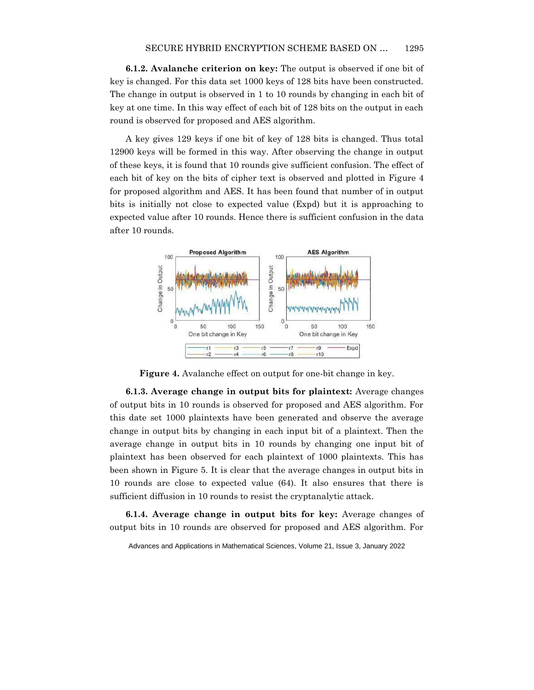**6.1.2. Avalanche criterion on key:** The output is observed if one bit of key is changed. For this data set 1000 keys of 128 bits have been constructed. The change in output is observed in 1 to 10 rounds by changing in each bit of key at one time. In this way effect of each bit of 128 bits on the output in each round is observed for proposed and AES algorithm.

A key gives 129 keys if one bit of key of 128 bits is changed. Thus total 12900 keys will be formed in this way. After observing the change in output of these keys, it is found that 10 rounds give sufficient confusion. The effect of each bit of key on the bits of cipher text is observed and plotted in Figure 4 for proposed algorithm and AES. It has been found that number of in output bits is initially not close to expected value (Expd) but it is approaching to expected value after 10 rounds. Hence there is sufficient confusion in the data after 10 rounds.



**Figure 4.** Avalanche effect on output for one-bit change in key.

**6.1.3. Average change in output bits for plaintext:** Average changes of output bits in 10 rounds is observed for proposed and AES algorithm. For this date set 1000 plaintexts have been generated and observe the average change in output bits by changing in each input bit of a plaintext. Then the average change in output bits in 10 rounds by changing one input bit of plaintext has been observed for each plaintext of 1000 plaintexts. This has been shown in Figure 5. It is clear that the average changes in output bits in 10 rounds are close to expected value (64). It also ensures that there is sufficient diffusion in 10 rounds to resist the cryptanalytic attack.

**6.1.4. Average change in output bits for key:** Average changes of output bits in 10 rounds are observed for proposed and AES algorithm. For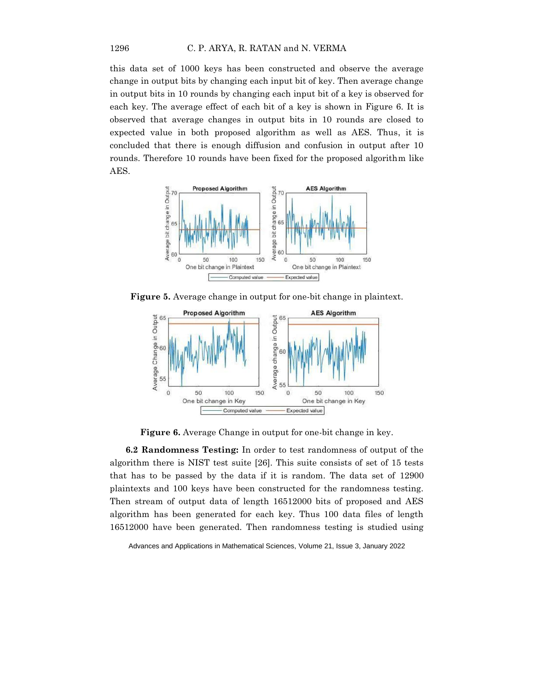this data set of 1000 keys has been constructed and observe the average change in output bits by changing each input bit of key. Then average change in output bits in 10 rounds by changing each input bit of a key is observed for each key. The average effect of each bit of a key is shown in Figure 6. It is observed that average changes in output bits in 10 rounds are closed to expected value in both proposed algorithm as well as AES. Thus, it is concluded that there is enough diffusion and confusion in output after 10 rounds. Therefore 10 rounds have been fixed for the proposed algorithm like AES.



**Figure 5.** Average change in output for one-bit change in plaintext.



**Figure 6.** Average Change in output for one-bit change in key.

**6.2 Randomness Testing:** In order to test randomness of output of the algorithm there is NIST test suite [26]. This suite consists of set of 15 tests that has to be passed by the data if it is random. The data set of 12900 plaintexts and 100 keys have been constructed for the randomness testing. Then stream of output data of length 16512000 bits of proposed and AES algorithm has been generated for each key. Thus 100 data files of length 16512000 have been generated. Then randomness testing is studied using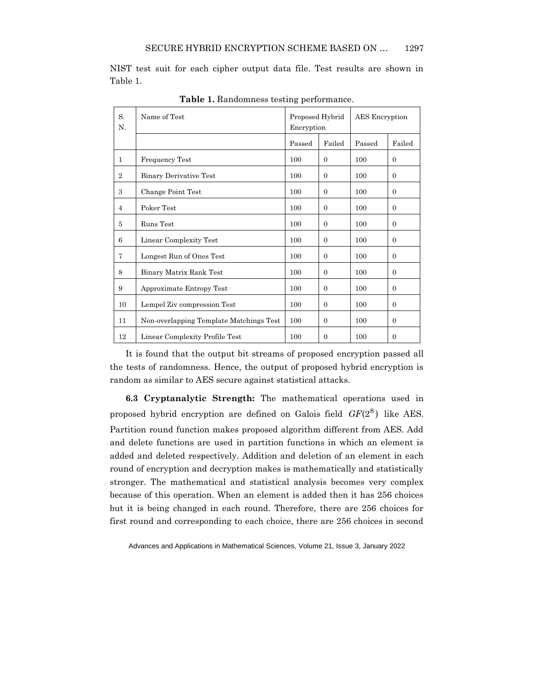NIST test suit for each cipher output data file. Test results are shown in Table 1.

| S.<br>N.       | Name of Test                            | Proposed Hybrid<br>Encryption |              | AES Encryption |          |
|----------------|-----------------------------------------|-------------------------------|--------------|----------------|----------|
|                |                                         | Passed                        | Failed       | Passed         | Failed   |
| 1              | <b>Frequency Test</b>                   | 100                           | $\Omega$     | 100            | $\Omega$ |
| $\overline{2}$ | <b>Binary Derivative Test</b>           | 100                           | $\Omega$     | 100            | $\theta$ |
| 3              | Change Point Test                       | 100                           | $\Omega$     | 100            | $\Omega$ |
| $\overline{4}$ | Poker Test                              | 100                           | $\Omega$     | 100            | $\Omega$ |
| 5              | Runs Test                               | 100                           | $\Omega$     | 100            | $\Omega$ |
| 6              | Linear Complexity Test                  | 100                           | $\Omega$     | 100            | $\Omega$ |
| 7              | Longest Run of Ones Test                | 100                           | $\Omega$     | 100            | $\Omega$ |
| 8              | Binary Matrix Rank Test                 | 100                           | $\Omega$     | 100            | $\Omega$ |
| 9              | Approximate Entropy Test                | 100                           | $\Omega$     | 100            | $\Omega$ |
| 10             | Lempel Ziv compression Test             | 100                           | $\Omega$     | 100            | $\Omega$ |
| 11             | Non-overlapping Template Matchings Test | 100                           | $\mathbf{0}$ | 100            | $\theta$ |
| 12             | Linear Complexity Profile Test          | 100                           | $\Omega$     | 100            | $\Omega$ |

**Table 1.** Randomness testing performance.

It is found that the output bit streams of proposed encryption passed all the tests of randomness. Hence, the output of proposed hybrid encryption is random as similar to AES secure against statistical attacks.

**6.3 Cryptanalytic Strength:** The mathematical operations used in proposed hybrid encryption are defined on Galois field  $GF(2^8)$  like AES. Partition round function makes proposed algorithm different from AES. Add and delete functions are used in partition functions in which an element is added and deleted respectively. Addition and deletion of an element in each round of encryption and decryption makes is mathematically and statistically stronger. The mathematical and statistical analysis becomes very complex because of this operation. When an element is added then it has 256 choices but it is being changed in each round. Therefore, there are 256 choices for first round and corresponding to each choice, there are 256 choices in second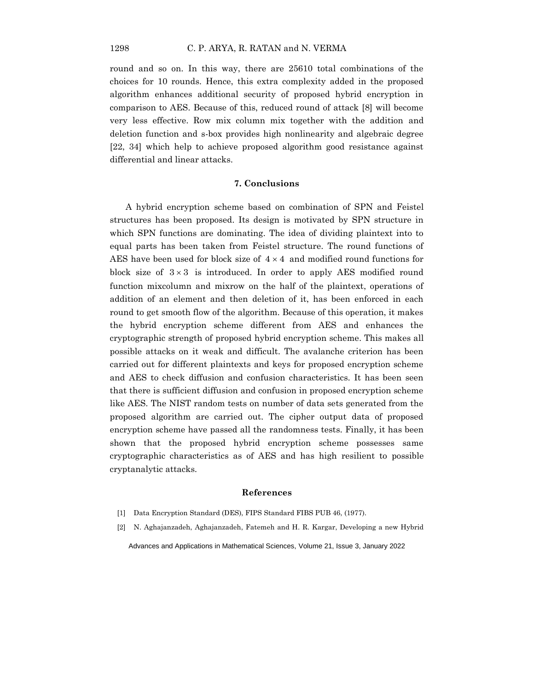round and so on. In this way, there are 25610 total combinations of the choices for 10 rounds. Hence, this extra complexity added in the proposed algorithm enhances additional security of proposed hybrid encryption in comparison to AES. Because of this, reduced round of attack [8] will become very less effective. Row mix column mix together with the addition and deletion function and s-box provides high nonlinearity and algebraic degree [22, 34] which help to achieve proposed algorithm good resistance against differential and linear attacks.

## **7. Conclusions**

A hybrid encryption scheme based on combination of SPN and Feistel structures has been proposed. Its design is motivated by SPN structure in which SPN functions are dominating. The idea of dividing plaintext into to equal parts has been taken from Feistel structure. The round functions of AES have been used for block size of  $4 \times 4$  and modified round functions for block size of  $3 \times 3$  is introduced. In order to apply AES modified round function mixcolumn and mixrow on the half of the plaintext, operations of addition of an element and then deletion of it, has been enforced in each round to get smooth flow of the algorithm. Because of this operation, it makes the hybrid encryption scheme different from AES and enhances the cryptographic strength of proposed hybrid encryption scheme. This makes all possible attacks on it weak and difficult. The avalanche criterion has been carried out for different plaintexts and keys for proposed encryption scheme and AES to check diffusion and confusion characteristics. It has been seen that there is sufficient diffusion and confusion in proposed encryption scheme like AES. The NIST random tests on number of data sets generated from the proposed algorithm are carried out. The cipher output data of proposed encryption scheme have passed all the randomness tests. Finally, it has been shown that the proposed hybrid encryption scheme possesses same cryptographic characteristics as of AES and has high resilient to possible cryptanalytic attacks.

#### **References**

- [1] Data Encryption Standard (DES), FIPS Standard FIBS PUB 46, (1977).
- [2] N. Aghajanzadeh, Aghajanzadeh, Fatemeh and H. R. Kargar, Developing a new Hybrid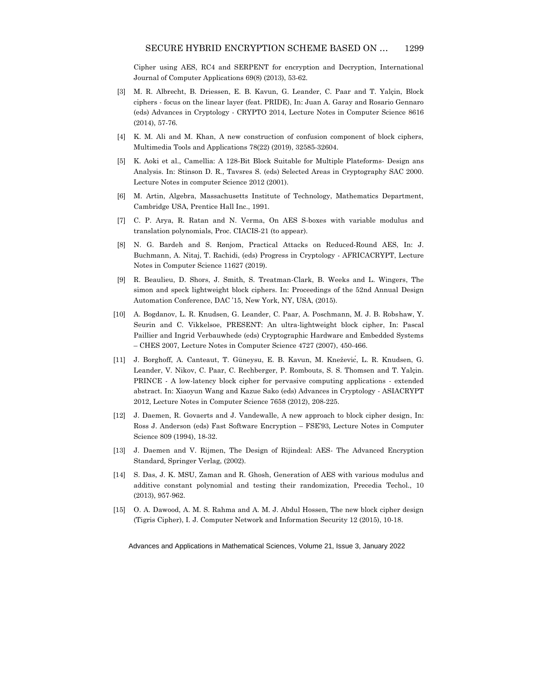Cipher using AES, RC4 and SERPENT for encryption and Decryption, International Journal of Computer Applications 69(8) (2013), 53-62.

- [3] M. R. Albrecht, B. Driessen, E. B. Kavun, G. Leander, C. Paar and T. Yalçin, Block ciphers - focus on the linear layer (feat. PRIDE), In: Juan A. Garay and Rosario Gennaro (eds) Advances in Cryptology - CRYPTO 2014, Lecture Notes in Computer Science 8616 (2014), 57-76.
- [4] K. M. Ali and M. Khan, A new construction of confusion component of block ciphers, Multimedia Tools and Applications 78(22) (2019), 32585-32604.
- [5] K. Aoki et al., Camellia: A 128-Bit Block Suitable for Multiple Plateforms- Design ans Analysis. In: Stinson D. R., Tavsres S. (eds) Selected Areas in Cryptography SAC 2000. Lecture Notes in computer Science 2012 (2001).
- [6] M. Artin, Algebra, Massachusetts Institute of Technology, Mathematics Department, Cambridge USA, Prentice Hall Inc., 1991.
- [7] C. P. Arya, R. Ratan and N. Verma, On AES S-boxes with variable modulus and translation polynomials, Proc. CIACIS-21 (to appear).
- [8] N. G. Bardeh and S. Rønjom, Practical Attacks on Reduced-Round AES, In: J. Buchmann, A. Nitaj, T. Rachidi, (eds) Progress in Cryptology - AFRICACRYPT, Lecture Notes in Computer Science 11627 (2019).
- [9] R. Beaulieu, D. Shors, J. Smith, S. Treatman-Clark, B. Weeks and L. Wingers, The simon and speck lightweight block ciphers. In: Proceedings of the 52nd Annual Design Automation Conference, DAC '15, New York, NY, USA, (2015).
- [10] A. Bogdanov, L. R. Knudsen, G. Leander, C. Paar, A. Poschmann, M. J. B. Robshaw, Y. Seurin and C. Vikkelsoe, PRESENT: An ultra-lightweight block cipher, In: Pascal Paillier and Ingrid Verbauwhede (eds) Cryptographic Hardware and Embedded Systems – CHES 2007, Lecture Notes in Computer Science 4727 (2007), 450-466.
- [11] J. Borghoff, A. Canteaut, T. Güneysu, E. B. Kavun, M. Knežević, L. R. Knudsen, G. Leander, V. Nikov, C. Paar, C. Rechberger, P. Rombouts, S. S. Thomsen and T. Yalçin. PRINCE - A low-latency block cipher for pervasive computing applications - extended abstract. In: Xiaoyun Wang and Kazue Sako (eds) Advances in Cryptology - ASIACRYPT 2012, Lecture Notes in Computer Science 7658 (2012), 208-225.
- [12] J. Daemen, R. Govaerts and J. Vandewalle, A new approach to block cipher design, In: Ross J. Anderson (eds) Fast Software Encryption – FSE'93, Lecture Notes in Computer Science 809 (1994), 18-32.
- [13] J. Daemen and V. Rijmen, The Design of Rijindeal: AES- The Advanced Encryption Standard, Springer Verlag, (2002).
- [14] S. Das, J. K. MSU, Zaman and R. Ghosh, Generation of AES with various modulus and additive constant polynomial and testing their randomization, Precedia Techol., 10 (2013), 957-962.
- [15] O. A. Dawood, A. M. S. Rahma and A. M. J. Abdul Hossen, The new block cipher design (Tigris Cipher), I. J. Computer Network and Information Security 12 (2015), 10-18.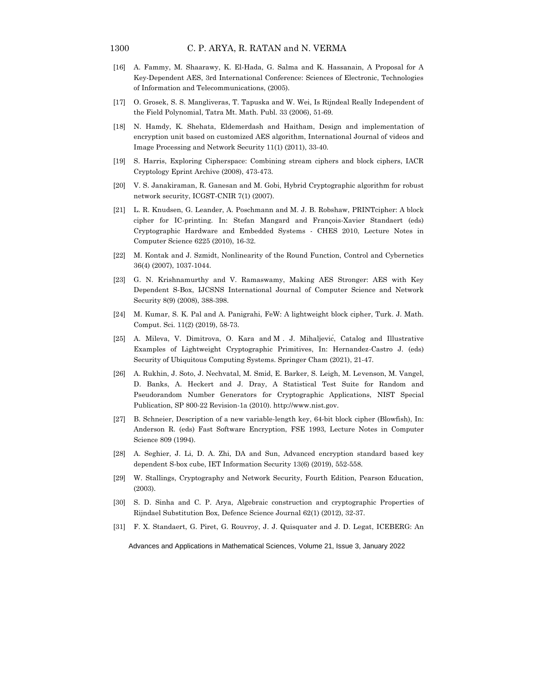- [16] A. Fammy, M. Shaarawy, K. El-Hada, G. Salma and K. Hassanain, A Proposal for A Key-Dependent AES, 3rd International Conference: Sciences of Electronic, Technologies of Information and Telecommunications, (2005).
- [17] O. Grosek, S. S. Mangliveras, T. Tapuska and W. Wei, Is Rijndeal Really Independent of the Field Polynomial, Tatra Mt. Math. Publ. 33 (2006), 51-69.
- [18] N. Hamdy, K. Shehata, Eldemerdash and Haitham, Design and implementation of encryption unit based on customized AES algorithm, International Journal of videos and Image Processing and Network Security 11(1) (2011), 33-40.
- [19] S. Harris, Exploring Cipherspace: Combining stream ciphers and block ciphers, IACR Cryptology Eprint Archive (2008), 473-473.
- [20] V. S. Janakiraman, R. Ganesan and M. Gobi, Hybrid Cryptographic algorithm for robust network security, ICGST-CNIR 7(1) (2007).
- [21] L. R. Knudsen, G. Leander, A. Poschmann and M. J. B. Robshaw, PRINTcipher: A block cipher for IC-printing. In: Stefan Mangard and François-Xavier Standaert (eds) Cryptographic Hardware and Embedded Systems - CHES 2010, Lecture Notes in Computer Science 6225 (2010), 16-32.
- [22] M. Kontak and J. Szmidt, Nonlinearity of the Round Function, Control and Cybernetics 36(4) (2007), 1037-1044.
- [23] G. N. Krishnamurthy and V. Ramaswamy, Making AES Stronger: AES with Key Dependent S-Box, IJCSNS International Journal of Computer Science and Network Security 8(9) (2008), 388-398.
- [24] M. Kumar, S. K. Pal and A. Panigrahi, FeW: A lightweight block cipher, Turk. J. Math. Comput. Sci. 11(2) (2019), 58-73.
- [25] A. Mileva, V. Dimitrova, O. Kara and M . J. Mihaljević, Catalog and Illustrative Examples of Lightweight Cryptographic Primitives, In: Hernandez-Castro J. (eds) Security of Ubiquitous Computing Systems. Springer Cham (2021), 21-47.
- [26] A. Rukhin, J. Soto, J. Nechvatal, M. Smid, E. Barker, S. Leigh, M. Levenson, M. Vangel, D. Banks, A. Heckert and J. Dray, A Statistical Test Suite for Random and Pseudorandom Number Generators for Cryptographic Applications, NIST Special Publication, SP 800-22 Revision-1a (2010). http://www.nist.gov.
- [27] B. Schneier, Description of a new variable-length key, 64-bit block cipher (Blowfish), In: Anderson R. (eds) Fast Software Encryption, FSE 1993, Lecture Notes in Computer Science 809 (1994).
- [28] A. Seghier, J. Li, D. A. Zhi, DA and Sun, Advanced encryption standard based key dependent S-box cube, IET Information Security 13(6) (2019), 552-558.
- [29] W. Stallings, Cryptography and Network Security, Fourth Edition, Pearson Education, (2003).
- [30] S. D. Sinha and C. P. Arya, Algebraic construction and cryptographic Properties of Rijndael Substitution Box, Defence Science Journal 62(1) (2012), 32-37.
- [31] F. X. Standaert, G. Piret, G. Rouvroy, J. J. Quisquater and J. D. Legat, ICEBERG: An

Advances and Applications in Mathematical Sciences, Volume 21, Issue 3, January 2022

1300